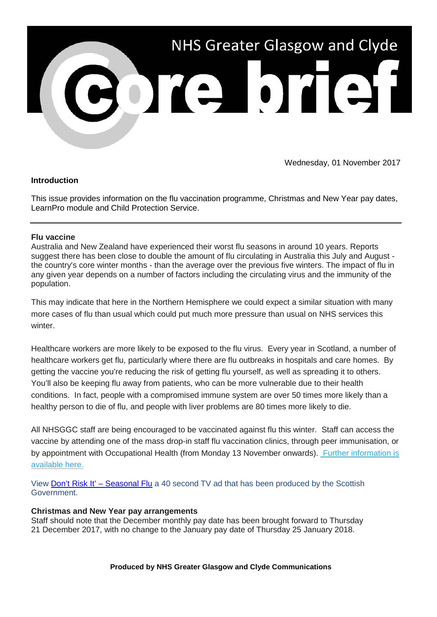

Wednesday, 01 November 2017

# **Introduction**

This issue provides information on the flu vaccination programme, Christmas and New Year pay dates, LearnPro module and Child Protection Service.

# **Flu vaccine**

Australia and New Zealand have experienced their worst flu seasons in around 10 years. Reports suggest there has been close to double the amount of flu circulating in Australia this July and August the country's core winter months - than the average over the previous five winters. The impact of flu in any given year depends on a number of factors including the circulating virus and the immunity of the population.

This may indicate that here in the Northern Hemisphere we could expect a similar situation with many more cases of flu than usual which could put much more pressure than usual on NHS services this winter

Healthcare workers are more likely to be exposed to the flu virus. Every year in Scotland, a number of healthcare workers get flu, particularly where there are flu outbreaks in hospitals and care homes. By getting the vaccine you're reducing the risk of getting flu yourself, as well as spreading it to others. You'll also be keeping flu away from patients, who can be more vulnerable due to their health conditions. In fact, people with a compromised immune system are over 50 times more likely than a healthy person to die of flu, and people with liver problems are 80 times more likely to die.

All NHSGGC staff are being encouraged to be vaccinated against flu this winter. Staff can access the vaccine by attending one of the mass drop-in staff flu vaccination clinics, through peer immunisation, or by appointment with Occupational Health (from Monday 13 November onwards). [Further information is](https://nhsggc.us12.list-manage.com/track/click?u=0f385b5aea37eaf0213bd19fb&id=ebaa917472&e=5af5e1832c)  [available here.](https://nhsggc.us12.list-manage.com/track/click?u=0f385b5aea37eaf0213bd19fb&id=ebaa917472&e=5af5e1832c)

View [Don't Risk It' –](http://www.immunisationscotland.org.uk/vaccines-and-diseases/seasonalflu/index.aspx?utm_source=Core%20Brief&utm_medium=email&utm_campaign=Core_Brief_flu_video) Seasonal Flu a 40 second TV ad that has been produced by the Scottish Government.

# **Christmas and New Year pay arrangements**

Staff should note that the December monthly pay date has been brought forward to Thursday 21 December 2017, with no change to the January pay date of Thursday 25 January 2018.